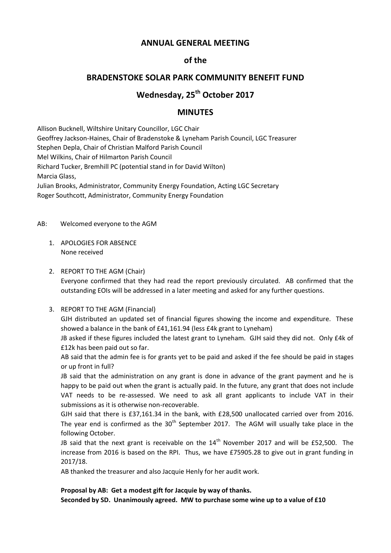## **ANNUAL GENERAL MEETING**

# **of the**

# **BRADENSTOKE SOLAR PARK COMMUNITY BENEFIT FUND**

# **Wednesday, 25th October 2017**

## **MINUTES**

Allison Bucknell, Wiltshire Unitary Councillor, LGC Chair Geoffrey Jackson-Haines, Chair of Bradenstoke & Lyneham Parish Council, LGC Treasurer Stephen Depla, Chair of Christian Malford Parish Council Mel Wilkins, Chair of Hilmarton Parish Council Richard Tucker, Bremhill PC (potential stand in for David Wilton) Marcia Glass, Julian Brooks, Administrator, Community Energy Foundation, Acting LGC Secretary Roger Southcott, Administrator, Community Energy Foundation

#### AB: Welcomed everyone to the AGM

- 1. APOLOGIES FOR ABSENCE None received
- 2. REPORT TO THE AGM (Chair)

Everyone confirmed that they had read the report previously circulated. AB confirmed that the outstanding EOIs will be addressed in a later meeting and asked for any further questions.

3. REPORT TO THE AGM (Financial)

GJH distributed an updated set of financial figures showing the income and expenditure. These showed a balance in the bank of £41,161.94 (less £4k grant to Lyneham)

JB asked if these figures included the latest grant to Lyneham. GJH said they did not. Only £4k of £12k has been paid out so far.

AB said that the admin fee is for grants yet to be paid and asked if the fee should be paid in stages or up front in full?

JB said that the administration on any grant is done in advance of the grant payment and he is happy to be paid out when the grant is actually paid. In the future, any grant that does not include VAT needs to be re-assessed. We need to ask all grant applicants to include VAT in their submissions as it is otherwise non-recoverable.

GJH said that there is £37,161.34 in the bank, with £28,500 unallocated carried over from 2016. The year end is confirmed as the  $30<sup>th</sup>$  September 2017. The AGM will usually take place in the following October.

JB said that the next grant is receivable on the  $14<sup>th</sup>$  November 2017 and will be £52,500. The increase from 2016 is based on the RPI. Thus, we have £75905.28 to give out in grant funding in 2017/18.

AB thanked the treasurer and also Jacquie Henly for her audit work.

### **Proposal by AB: Get a modest gift for Jacquie by way of thanks.**

**Seconded by SD. Unanimously agreed. MW to purchase some wine up to a value of £10**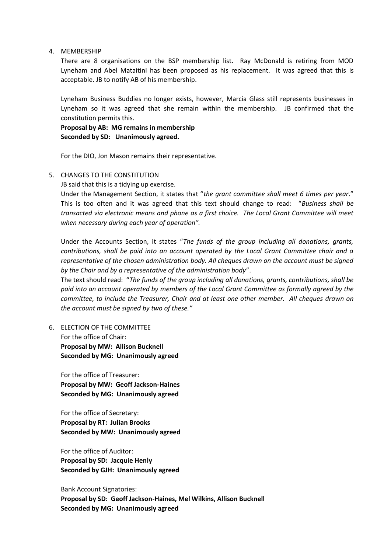#### 4. MEMBERSHIP

There are 8 organisations on the BSP membership list. Ray McDonald is retiring from MOD Lyneham and Abel Mataitini has been proposed as his replacement. It was agreed that this is acceptable. JB to notify AB of his membership.

Lyneham Business Buddies no longer exists, however, Marcia Glass still represents businesses in Lyneham so it was agreed that she remain within the membership. JB confirmed that the constitution permits this.

**Proposal by AB: MG remains in membership Seconded by SD: Unanimously agreed.**

For the DIO, Jon Mason remains their representative.

#### 5. CHANGES TO THE CONSTITUTION

JB said that this is a tidying up exercise.

Under the Management Section, it states that "*the grant committee shall meet 6 times per year*." This is too often and it was agreed that this text should change to read: "*Business shall be transacted via electronic means and phone as a first choice. The Local Grant Committee will meet when necessary during each year of operation".*

Under the Accounts Section, it states "*The funds of the group including all donations, grants, contributions, shall be paid into an account operated by the Local Grant Committee chair and a representative of the chosen administration body. All cheques drawn on the account must be signed by the Chair and by a representative of the administration body*".

The text should read: "*The funds of the group including all donations, grants, contributions, shall be paid into an account operated by members of the Local Grant Committee as formally agreed by the committee, to include the Treasurer, Chair and at least one other member. All cheques drawn on the account must be signed by two of these."*

6. ELECTION OF THE COMMITTEE For the office of Chair: **Proposal by MW: Allison Bucknell Seconded by MG: Unanimously agreed**

For the office of Treasurer: **Proposal by MW: Geoff Jackson-Haines Seconded by MG: Unanimously agreed**

For the office of Secretary: **Proposal by RT: Julian Brooks Seconded by MW: Unanimously agreed**

For the office of Auditor: **Proposal by SD: Jacquie Henly Seconded by GJH: Unanimously agreed**

Bank Account Signatories: **Proposal by SD: Geoff Jackson-Haines, Mel Wilkins, Allison Bucknell Seconded by MG: Unanimously agreed**